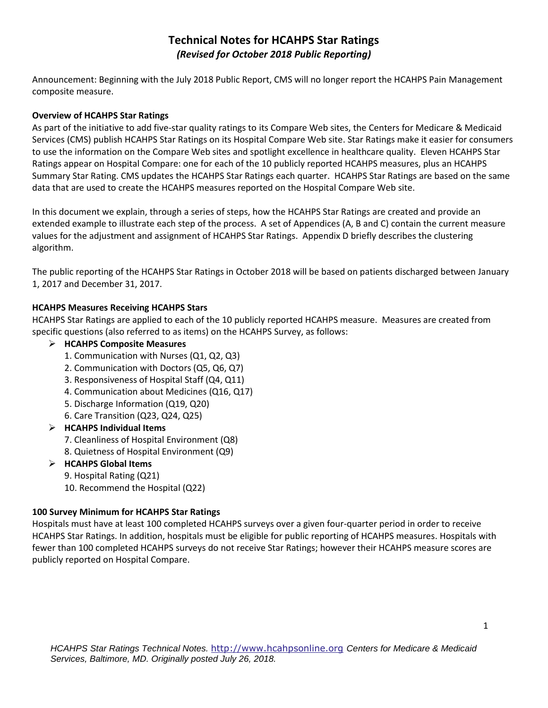# **Technical Notes for HCAHPS Star Ratings**  *(Revised for October 2018 Public Reporting)*

Announcement: Beginning with the July 2018 Public Report, CMS will no longer report the HCAHPS Pain Management composite measure.

## **Overview of HCAHPS Star Ratings**

As part of the initiative to add five-star quality ratings to its Compare Web sites, the Centers for Medicare & Medicaid Services (CMS) publish HCAHPS Star Ratings on its Hospital Compare Web site. Star Ratings make it easier for consumers to use the information on the Compare Web sites and spotlight excellence in healthcare quality. Eleven HCAHPS Star Ratings appear on Hospital Compare: one for each of the 10 publicly reported HCAHPS measures, plus an HCAHPS Summary Star Rating. CMS updates the HCAHPS Star Ratings each quarter. HCAHPS Star Ratings are based on the same data that are used to create the HCAHPS measures reported on the Hospital Compare Web site.

In this document we explain, through a series of steps, how the HCAHPS Star Ratings are created and provide an extended example to illustrate each step of the process. A set of Appendices (A, B and C) contain the current measure values for the adjustment and assignment of HCAHPS Star Ratings. Appendix D briefly describes the clustering algorithm.

The public reporting of the HCAHPS Star Ratings in October 2018 will be based on patients discharged between January 1, 2017 and December 31, 2017.

## **HCAHPS Measures Receiving HCAHPS Stars**

HCAHPS Star Ratings are applied to each of the 10 publicly reported HCAHPS measure. Measures are created from specific questions (also referred to as items) on the HCAHPS Survey, as follows:

## **HCAHPS Composite Measures**

- 1. Communication with Nurses (Q1, Q2, Q3)
- 2. Communication with Doctors (Q5, Q6, Q7)
- 3. Responsiveness of Hospital Staff (Q4, Q11)
- 4. Communication about Medicines (Q16, Q17)
- 5. Discharge Information (Q19, Q20)
- 6. Care Transition (Q23, Q24, Q25)
- **HCAHPS Individual Items**
	- 7. Cleanliness of Hospital Environment (Q8)
	- 8. Quietness of Hospital Environment (Q9)

### **HCAHPS Global Items**

- 9. Hospital Rating (Q21)
- 10. Recommend the Hospital (Q22)

### **100 Survey Minimum for HCAHPS Star Ratings**

Hospitals must have at least 100 completed HCAHPS surveys over a given four-quarter period in order to receive HCAHPS Star Ratings. In addition, hospitals must be eligible for public reporting of HCAHPS measures. Hospitals with fewer than 100 completed HCAHPS surveys do not receive Star Ratings; however their HCAHPS measure scores are publicly reported on Hospital Compare.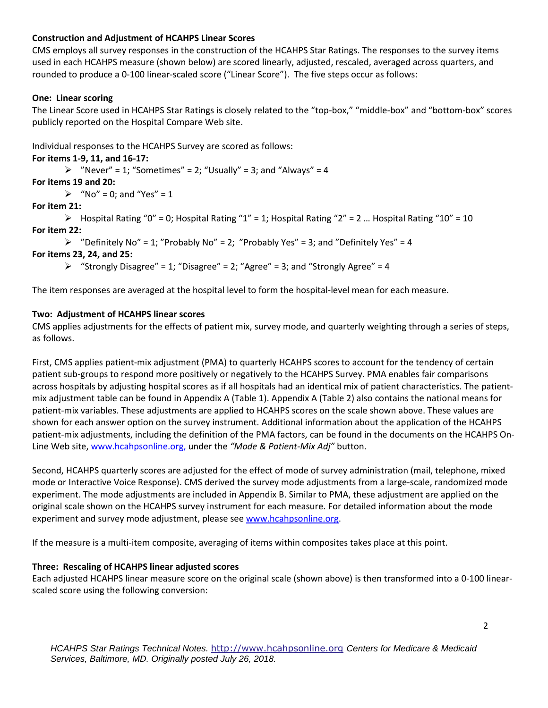## **Construction and Adjustment of HCAHPS Linear Scores**

CMS employs all survey responses in the construction of the HCAHPS Star Ratings. The responses to the survey items used in each HCAHPS measure (shown below) are scored linearly, adjusted, rescaled, averaged across quarters, and rounded to produce a 0-100 linear-scaled score ("Linear Score"). The five steps occur as follows:

## **One: Linear scoring**

The Linear Score used in HCAHPS Star Ratings is closely related to the "top-box," "middle-box" and "bottom-box" scores publicly reported on the Hospital Compare Web site.

Individual responses to the HCAHPS Survey are scored as follows:

### **For items 1-9, 11, and 16-17:**

 $\triangleright$  "Never" = 1; "Sometimes" = 2; "Usually" = 3; and "Always" = 4

## **For items 19 and 20:**

 $\triangleright$  "No" = 0; and "Yes" = 1

## **For item 21:**

 $\triangleright$  Hospital Rating "0" = 0; Hospital Rating "1" = 1; Hospital Rating "2" = 2 ... Hospital Rating "10" = 10 **For item 22:** 

 $\triangleright$  "Definitely No" = 1; "Probably No" = 2; "Probably Yes" = 3; and "Definitely Yes" = 4

## **For items 23, 24, and 25:**

 $\triangleright$  "Strongly Disagree" = 1; "Disagree" = 2; "Agree" = 3; and "Strongly Agree" = 4

The item responses are averaged at the hospital level to form the hospital-level mean for each measure.

## **Two: Adjustment of HCAHPS linear scores**

CMS applies adjustments for the effects of patient mix, survey mode, and quarterly weighting through a series of steps, as follows.

First, CMS applies patient-mix adjustment (PMA) to quarterly HCAHPS scores to account for the tendency of certain patient sub-groups to respond more positively or negatively to the HCAHPS Survey. PMA enables fair comparisons across hospitals by adjusting hospital scores as if all hospitals had an identical mix of patient characteristics. The patientmix adjustment table can be found in Appendix A (Table 1). Appendix A (Table 2) also contains the national means for patient-mix variables. These adjustments are applied to HCAHPS scores on the scale shown above. These values are shown for each answer option on the survey instrument. Additional information about the application of the HCAHPS patient-mix adjustments, including the definition of the PMA factors, can be found in the documents on the HCAHPS On-Line Web site[, www.hcahpsonline.org,](http://www.hcahpsonline.org/) under the *"Mode & Patient-Mix Adj"* button.

Second, HCAHPS quarterly scores are adjusted for the effect of mode of survey administration (mail, telephone, mixed mode or Interactive Voice Response). CMS derived the survey mode adjustments from a large-scale, randomized mode experiment. The mode adjustments are included in Appendix B. Similar to PMA, these adjustment are applied on the original scale shown on the HCAHPS survey instrument for each measure. For detailed information about the mode experiment and survey mode adjustment, please see [www.hcahpsonline.org.](http://www.hcahpsonline.org/)

If the measure is a multi-item composite, averaging of items within composites takes place at this point.

### **Three: Rescaling of HCAHPS linear adjusted scores**

Each adjusted HCAHPS linear measure score on the original scale (shown above) is then transformed into a 0-100 linearscaled score using the following conversion: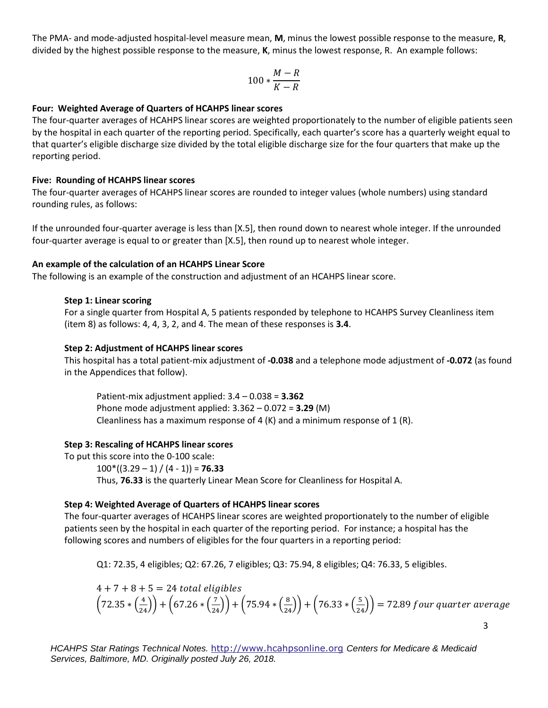The PMA- and mode-adjusted hospital-level measure mean, **M**, minus the lowest possible response to the measure, **R**, divided by the highest possible response to the measure, **K**, minus the lowest response, R. An example follows:

$$
100*\frac{M-R}{K-R}
$$

#### **Four: Weighted Average of Quarters of HCAHPS linear scores**

The four-quarter averages of HCAHPS linear scores are weighted proportionately to the number of eligible patients seen by the hospital in each quarter of the reporting period. Specifically, each quarter's score has a quarterly weight equal to that quarter's eligible discharge size divided by the total eligible discharge size for the four quarters that make up the reporting period.

#### **Five: Rounding of HCAHPS linear scores**

The four-quarter averages of HCAHPS linear scores are rounded to integer values (whole numbers) using standard rounding rules, as follows:

If the unrounded four-quarter average is less than [X.5], then round down to nearest whole integer. If the unrounded four-quarter average is equal to or greater than [X.5], then round up to nearest whole integer.

#### **An example of the calculation of an HCAHPS Linear Score**

The following is an example of the construction and adjustment of an HCAHPS linear score.

#### **Step 1: Linear scoring**

For a single quarter from Hospital A, 5 patients responded by telephone to HCAHPS Survey Cleanliness item (item 8) as follows: 4, 4, 3, 2, and 4. The mean of these responses is **3.4**.

#### **Step 2: Adjustment of HCAHPS linear scores**

This hospital has a total patient-mix adjustment of **-0.038** and a telephone mode adjustment of **-0.072** (as found in the Appendices that follow).

Patient-mix adjustment applied: 3.4 – 0.038 = **3.362**  Phone mode adjustment applied: 3.362 – 0.072 = **3.29** (M) Cleanliness has a maximum response of 4  $(K)$  and a minimum response of 1  $(R)$ .

### **Step 3: Rescaling of HCAHPS linear scores**

To put this score into the 0-100 scale:  $100*(3.29 - 1) / (4 - 1) = 76.33$ Thus, **76.33** is the quarterly Linear Mean Score for Cleanliness for Hospital A.

### **Step 4: Weighted Average of Quarters of HCAHPS linear scores**

The four-quarter averages of HCAHPS linear scores are weighted proportionately to the number of eligible patients seen by the hospital in each quarter of the reporting period. For instance; a hospital has the following scores and numbers of eligibles for the four quarters in a reporting period:

Q1: 72.35, 4 eligibles; Q2: 67.26, 7 eligibles; Q3: 75.94, 8 eligibles; Q4: 76.33, 5 eligibles.

$$
4 + 7 + 8 + 5 = 24
$$
 total eligibles  
\n $\left(72.35 * \left(\frac{4}{24}\right)\right) + \left(67.26 * \left(\frac{7}{24}\right)\right) + \left(75.94 * \left(\frac{8}{24}\right)\right) + \left(76.33 * \left(\frac{5}{24}\right)\right) = 72.89$  four quarter average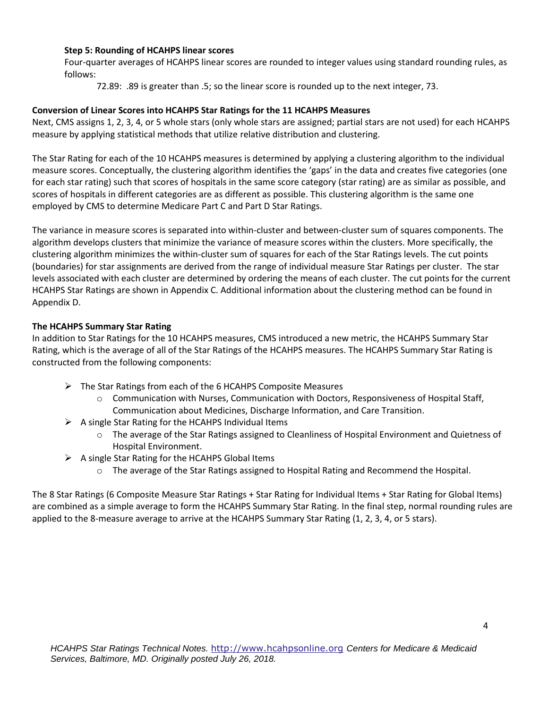### **Step 5: Rounding of HCAHPS linear scores**

Four-quarter averages of HCAHPS linear scores are rounded to integer values using standard rounding rules, as follows:

72.89: .89 is greater than .5; so the linear score is rounded up to the next integer, 73.

## **Conversion of Linear Scores into HCAHPS Star Ratings for the 11 HCAHPS Measures**

Next, CMS assigns 1, 2, 3, 4, or 5 whole stars (only whole stars are assigned; partial stars are not used) for each HCAHPS measure by applying statistical methods that utilize relative distribution and clustering.

The Star Rating for each of the 10 HCAHPS measures is determined by applying a clustering algorithm to the individual measure scores. Conceptually, the clustering algorithm identifies the 'gaps' in the data and creates five categories (one for each star rating) such that scores of hospitals in the same score category (star rating) are as similar as possible, and scores of hospitals in different categories are as different as possible. This clustering algorithm is the same one employed by CMS to determine Medicare Part C and Part D Star Ratings.

The variance in measure scores is separated into within-cluster and between-cluster sum of squares components. The algorithm develops clusters that minimize the variance of measure scores within the clusters. More specifically, the clustering algorithm minimizes the within-cluster sum of squares for each of the Star Ratings levels. The cut points (boundaries) for star assignments are derived from the range of individual measure Star Ratings per cluster. The star levels associated with each cluster are determined by ordering the means of each cluster. The cut points for the current HCAHPS Star Ratings are shown in Appendix C. Additional information about the clustering method can be found in Appendix D.

### **The HCAHPS Summary Star Rating**

In addition to Star Ratings for the 10 HCAHPS measures, CMS introduced a new metric, the HCAHPS Summary Star Rating, which is the average of all of the Star Ratings of the HCAHPS measures. The HCAHPS Summary Star Rating is constructed from the following components:

- $\triangleright$  The Star Ratings from each of the 6 HCAHPS Composite Measures
	- $\circ$  Communication with Nurses, Communication with Doctors, Responsiveness of Hospital Staff, Communication about Medicines, Discharge Information, and Care Transition.
- $\triangleright$  A single Star Rating for the HCAHPS Individual Items
	- o The average of the Star Ratings assigned to Cleanliness of Hospital Environment and Quietness of Hospital Environment.
- $\triangleright$  A single Star Rating for the HCAHPS Global Items
	- o The average of the Star Ratings assigned to Hospital Rating and Recommend the Hospital.

The 8 Star Ratings (6 Composite Measure Star Ratings + Star Rating for Individual Items + Star Rating for Global Items) are combined as a simple average to form the HCAHPS Summary Star Rating. In the final step, normal rounding rules are applied to the 8-measure average to arrive at the HCAHPS Summary Star Rating (1, 2, 3, 4, or 5 stars).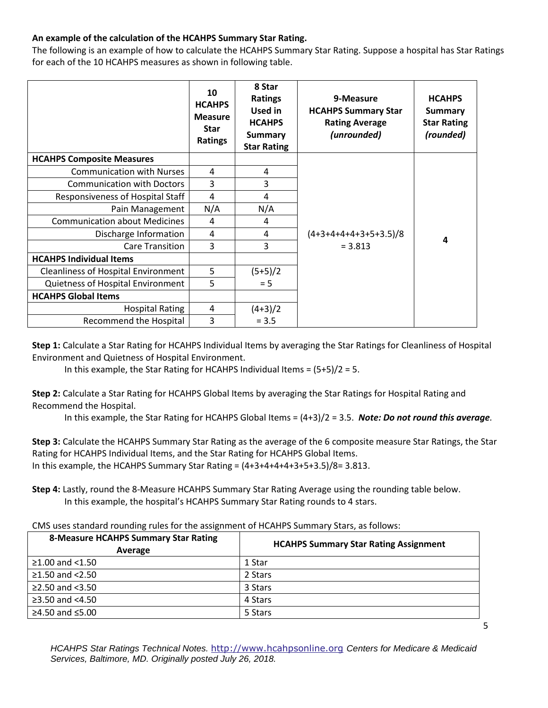## **An example of the calculation of the HCAHPS Summary Star Rating.**

The following is an example of how to calculate the HCAHPS Summary Star Rating. Suppose a hospital has Star Ratings for each of the 10 HCAHPS measures as shown in following table.

|                                            | 10<br><b>HCAHPS</b><br><b>Measure</b><br><b>Star</b><br>Ratings | 8 Star<br><b>Ratings</b><br>Used in<br><b>HCAHPS</b><br><b>Summary</b><br><b>Star Rating</b> | 9-Measure<br><b>HCAHPS Summary Star</b><br><b>Rating Average</b><br>(unrounded) | <b>HCAHPS</b><br><b>Summary</b><br><b>Star Rating</b><br>(rounded) |
|--------------------------------------------|-----------------------------------------------------------------|----------------------------------------------------------------------------------------------|---------------------------------------------------------------------------------|--------------------------------------------------------------------|
| <b>HCAHPS Composite Measures</b>           |                                                                 |                                                                                              |                                                                                 |                                                                    |
| <b>Communication with Nurses</b>           | 4                                                               | 4                                                                                            |                                                                                 |                                                                    |
| <b>Communication with Doctors</b>          | 3                                                               | 3                                                                                            |                                                                                 |                                                                    |
| Responsiveness of Hospital Staff           | 4                                                               | 4                                                                                            |                                                                                 |                                                                    |
| Pain Management                            | N/A                                                             | N/A                                                                                          |                                                                                 |                                                                    |
| <b>Communication about Medicines</b>       | 4                                                               | 4                                                                                            |                                                                                 |                                                                    |
| Discharge Information                      | 4                                                               | 4                                                                                            | $(4+3+4+4+4+3+5+3.5)/8$                                                         | 4                                                                  |
| <b>Care Transition</b>                     | 3                                                               | 3                                                                                            | $= 3.813$                                                                       |                                                                    |
| <b>HCAHPS Individual Items</b>             |                                                                 |                                                                                              |                                                                                 |                                                                    |
| <b>Cleanliness of Hospital Environment</b> | 5                                                               | $(5+5)/2$                                                                                    |                                                                                 |                                                                    |
| Quietness of Hospital Environment          | 5                                                               | $= 5$                                                                                        |                                                                                 |                                                                    |
| <b>HCAHPS Global Items</b>                 |                                                                 |                                                                                              |                                                                                 |                                                                    |
| <b>Hospital Rating</b>                     | 4                                                               | $(4+3)/2$                                                                                    |                                                                                 |                                                                    |
| Recommend the Hospital                     | 3                                                               | $= 3.5$                                                                                      |                                                                                 |                                                                    |

**Step 1:** Calculate a Star Rating for HCAHPS Individual Items by averaging the Star Ratings for Cleanliness of Hospital Environment and Quietness of Hospital Environment.

In this example, the Star Rating for HCAHPS Individual Items =  $(5+5)/2 = 5$ .

**Step 2:** Calculate a Star Rating for HCAHPS Global Items by averaging the Star Ratings for Hospital Rating and Recommend the Hospital.

In this example, the Star Rating for HCAHPS Global Items = (4+3)/2 = 3.5. *Note: Do not round this average.*

**Step 3:** Calculate the HCAHPS Summary Star Rating as the average of the 6 composite measure Star Ratings, the Star Rating for HCAHPS Individual Items, and the Star Rating for HCAHPS Global Items. In this example, the HCAHPS Summary Star Rating =  $(4+3+4+4+4+3+5+3.5)/8=3.813$ .

**Step 4:** Lastly, round the 8-Measure HCAHPS Summary Star Rating Average using the rounding table below. In this example, the hospital's HCAHPS Summary Star Rating rounds to 4 stars.

| CMS uses standard rounding rules for the assignment of HCAHPS Summary Stars, as follows: |  |
|------------------------------------------------------------------------------------------|--|
|------------------------------------------------------------------------------------------|--|

| <b>8-Measure HCAHPS Summary Star Rating</b><br>Average | <b>HCAHPS Summary Star Rating Assignment</b> |
|--------------------------------------------------------|----------------------------------------------|
| $≥1.00$ and <1.50                                      | 1 Star                                       |
| $≥1.50$ and <2.50                                      | 2 Stars                                      |
| $≥2.50$ and $< 3.50$                                   | 3 Stars                                      |
| ≥3.50 and $<4.50$                                      | 4 Stars                                      |
| $≥4.50$ and ≤5.00                                      | 5 Stars                                      |

*HCAHPS Star Ratings Technical Notes.* [http://www.hcahpsonline.org](http://www.hcahpsonline.org/) *Centers for Medicare & Medicaid Services, Baltimore, MD. Originally posted July 26, 2018.*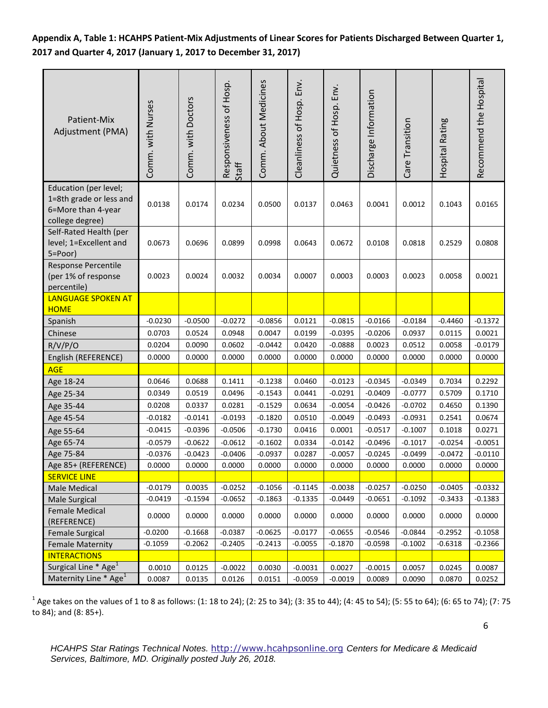**Appendix A, Table 1: HCAHPS Patient-Mix Adjustments of Linear Scores for Patients Discharged Between Quarter 1, 2017 and Quarter 4, 2017 (January 1, 2017 to December 31, 2017)**

| Patient-Mix<br>Adjustment (PMA)                                                           | Comm. with Nurses | Comm. with Doctors | Responsiveness of Hosp.<br>Staff | Comm. About Medicines | Cleanliness of Hosp. Env. | Quietness of Hosp. Env. | Discharge Information | Care Transition | Hospital Rating | Recommend the Hospital |
|-------------------------------------------------------------------------------------------|-------------------|--------------------|----------------------------------|-----------------------|---------------------------|-------------------------|-----------------------|-----------------|-----------------|------------------------|
| Education (per level;<br>1=8th grade or less and<br>6=More than 4-year<br>college degree) | 0.0138            | 0.0174             | 0.0234                           | 0.0500                | 0.0137                    | 0.0463                  | 0.0041                | 0.0012          | 0.1043          | 0.0165                 |
| Self-Rated Health (per<br>level; 1=Excellent and<br>5=Poor)                               | 0.0673            | 0.0696             | 0.0899                           | 0.0998                | 0.0643                    | 0.0672                  | 0.0108                | 0.0818          | 0.2529          | 0.0808                 |
| Response Percentile<br>(per 1% of response<br>percentile)                                 | 0.0023            | 0.0024             | 0.0032                           | 0.0034                | 0.0007                    | 0.0003                  | 0.0003                | 0.0023          | 0.0058          | 0.0021                 |
| <b>LANGUAGE SPOKEN AT</b><br><b>HOME</b>                                                  |                   |                    |                                  |                       |                           |                         |                       |                 |                 |                        |
| Spanish                                                                                   | $-0.0230$         | $-0.0500$          | $-0.0272$                        | $-0.0856$             | 0.0121                    | $-0.0815$               | $-0.0166$             | $-0.0184$       | $-0.4460$       | $-0.1372$              |
| Chinese                                                                                   | 0.0703            | 0.0524             | 0.0948                           | 0.0047                | 0.0199                    | $-0.0395$               | $-0.0206$             | 0.0937          | 0.0115          | 0.0021                 |
| R/V/P/O                                                                                   | 0.0204            | 0.0090             | 0.0602                           | $-0.0442$             | 0.0420                    | $-0.0888$               | 0.0023                | 0.0512          | 0.0058          | $-0.0179$              |
| English (REFERENCE)                                                                       | 0.0000            | 0.0000             | 0.0000                           | 0.0000                | 0.0000                    | 0.0000                  | 0.0000                | 0.0000          | 0.0000          | 0.0000                 |
| <b>AGE</b>                                                                                |                   |                    |                                  |                       |                           |                         |                       |                 |                 |                        |
| Age 18-24                                                                                 | 0.0646            | 0.0688             | 0.1411                           | $-0.1238$             | 0.0460                    | $-0.0123$               | $-0.0345$             | $-0.0349$       | 0.7034          | 0.2292                 |
| Age 25-34                                                                                 | 0.0349            | 0.0519             | 0.0496                           | $-0.1543$             | 0.0441                    | $-0.0291$               | $-0.0409$             | $-0.0777$       | 0.5709          | 0.1710                 |
| Age 35-44                                                                                 | 0.0208            | 0.0337             | 0.0281                           | $-0.1529$             | 0.0634                    | $-0.0054$               | $-0.0426$             | $-0.0702$       | 0.4650          | 0.1390                 |
| Age 45-54                                                                                 | $-0.0182$         | $-0.0141$          | $-0.0193$                        | $-0.1820$             | 0.0510                    | $-0.0049$               | $-0.0493$             | $-0.0931$       | 0.2541          | 0.0674                 |
| Age 55-64                                                                                 | $-0.0415$         | $-0.0396$          | $-0.0506$                        | $-0.1730$             | 0.0416                    | 0.0001                  | $-0.0517$             | $-0.1007$       | 0.1018          | 0.0271                 |
| Age 65-74                                                                                 | $-0.0579$         | $-0.0622$          | $-0.0612$                        | $-0.1602$             | 0.0334                    | $-0.0142$               | $-0.0496$             | $-0.1017$       | $-0.0254$       | $-0.0051$              |
| Age 75-84                                                                                 | $-0.0376$         | $-0.0423$          | $-0.0406$                        | $-0.0937$             | 0.0287                    | $-0.0057$               | $-0.0245$             | $-0.0499$       | $-0.0472$       | $-0.0110$              |
| Age 85+ (REFERENCE)                                                                       | 0.0000            | 0.0000             | 0.0000                           | 0.0000                | 0.0000                    | 0.0000                  | 0.0000                | 0.0000          | 0.0000          | 0.0000                 |
| <b>SERVICE LINE</b>                                                                       |                   |                    |                                  |                       |                           |                         |                       |                 |                 |                        |
| Male Medical                                                                              | $-0.0179$         | 0.0035             | $-0.0252$                        | $-0.1056$             | $-0.1145$                 | $-0.0038$               | $-0.0257$             | $-0.0250$       | $-0.0405$       | $-0.0332$              |
| Male Surgical                                                                             | $-0.0419$         | $-0.1594$          | $-0.0652$                        | $-0.1863$             | $-0.1335$                 | -0.0449                 | $-0.0651$             | $-0.1092$       | $-0.3433$       | $-0.1383$              |
| <b>Female Medical</b><br>(REFERENCE)                                                      | 0.0000            | 0.0000             | 0.0000                           | 0.0000                | 0.0000                    | 0.0000                  | 0.0000                | 0.0000          | 0.0000          | 0.0000                 |
| <b>Female Surgical</b>                                                                    | $-0.0200$         | $-0.1668$          | $-0.0387$                        | $-0.0625$             | $-0.0177$                 | $-0.0655$               | $-0.0546$             | $-0.0844$       | $-0.2952$       | $-0.1058$              |
| <b>Female Maternity</b>                                                                   | $-0.1059$         | $-0.2062$          | $-0.2405$                        | $-0.2413$             | $-0.0055$                 | $-0.1870$               | $-0.0598$             | $-0.1002$       | $-0.6318$       | $-0.2366$              |
| <b>INTERACTIONS</b>                                                                       |                   |                    |                                  |                       |                           |                         |                       |                 |                 |                        |
| Surgical Line $*$ Age <sup>1</sup>                                                        | 0.0010            | 0.0125             | $-0.0022$                        | 0.0030                | $-0.0031$                 | 0.0027                  | $-0.0015$             | 0.0057          | 0.0245          | 0.0087                 |
| Maternity Line * Age <sup>1</sup>                                                         | 0.0087            | 0.0135             | 0.0126                           | 0.0151                | $-0.0059$                 | $-0.0019$               | 0.0089                | 0.0090          | 0.0870          | 0.0252                 |

 $^1$  Age takes on the values of 1 to 8 as follows: (1: 18 to 24); (2: 25 to 34); (3: 35 to 44); (4: 45 to 54); (5: 55 to 64); (6: 65 to 74); (7: 75 to 84); and (8: 85+).

6

*HCAHPS Star Ratings Technical Notes.* [http://www.hcahpsonline.org](http://www.hcahpsonline.org/) *Centers for Medicare & Medicaid Services, Baltimore, MD. Originally posted July 26, 2018.*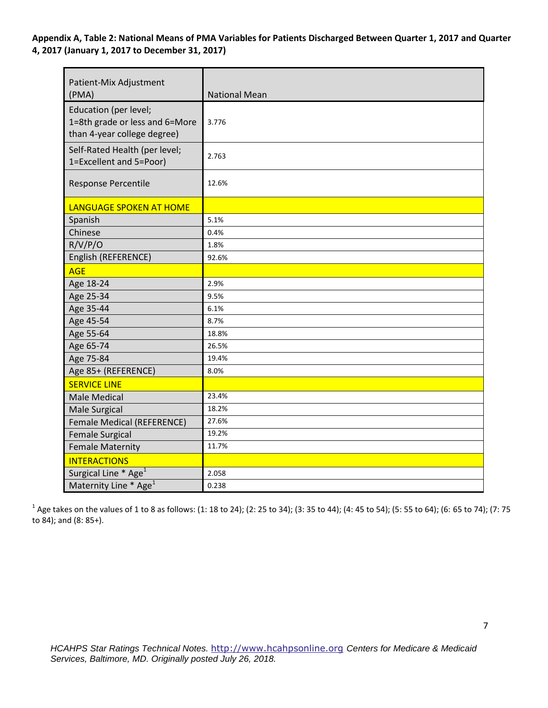**Appendix A, Table 2: National Means of PMA Variables for Patients Discharged Between Quarter 1, 2017 and Quarter 4, 2017 (January 1, 2017 to December 31, 2017)** 

| Patient-Mix Adjustment<br>(PMA)                                                        | <b>National Mean</b> |
|----------------------------------------------------------------------------------------|----------------------|
| Education (per level;<br>1=8th grade or less and 6=More<br>than 4-year college degree) | 3.776                |
| Self-Rated Health (per level;<br>1=Excellent and 5=Poor)                               | 2.763                |
| Response Percentile                                                                    | 12.6%                |
| <b>LANGUAGE SPOKEN AT HOME</b>                                                         |                      |
| Spanish                                                                                | 5.1%                 |
| Chinese                                                                                | 0.4%                 |
| R/V/P/O                                                                                | 1.8%                 |
| English (REFERENCE)                                                                    | 92.6%                |
| <b>AGE</b>                                                                             |                      |
| Age 18-24                                                                              | 2.9%                 |
| Age 25-34                                                                              | 9.5%                 |
| Age 35-44                                                                              | 6.1%                 |
| Age 45-54                                                                              | 8.7%                 |
| Age 55-64                                                                              | 18.8%                |
| Age 65-74                                                                              | 26.5%                |
| Age 75-84                                                                              | 19.4%                |
| Age 85+ (REFERENCE)                                                                    | 8.0%                 |
| <b>SERVICE LINE</b>                                                                    |                      |
| <b>Male Medical</b>                                                                    | 23.4%                |
| Male Surgical                                                                          | 18.2%                |
| Female Medical (REFERENCE)                                                             | 27.6%                |
| <b>Female Surgical</b>                                                                 | 19.2%                |
| <b>Female Maternity</b>                                                                | 11.7%                |
| <b>INTERACTIONS</b>                                                                    |                      |
| Surgical Line * Age <sup>1</sup>                                                       | 2.058                |
| Maternity Line * Age <sup>1</sup>                                                      | 0.238                |

 $^1$  Age takes on the values of 1 to 8 as follows: (1: 18 to 24); (2: 25 to 34); (3: 35 to 44); (4: 45 to 54); (5: 55 to 64); (6: 65 to 74); (7: 75 to 84); and (8: 85+).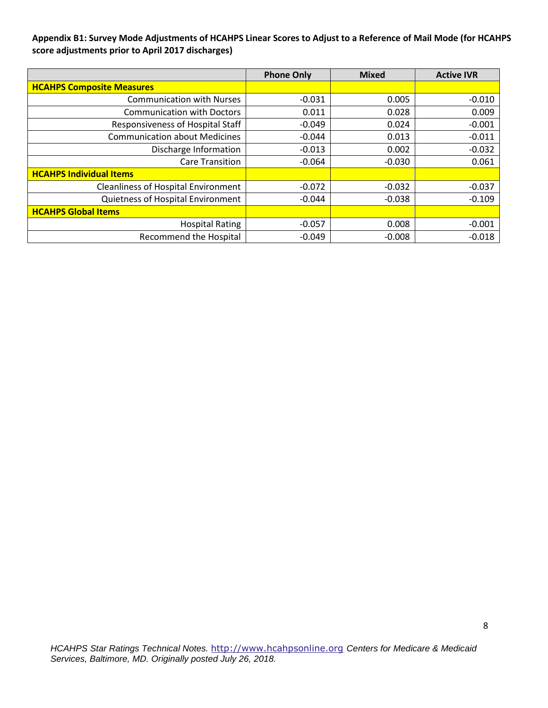## **Appendix B1: Survey Mode Adjustments of HCAHPS Linear Scores to Adjust to a Reference of Mail Mode (for HCAHPS score adjustments prior to April 2017 discharges)**

|                                            | <b>Phone Only</b> | <b>Mixed</b> | <b>Active IVR</b> |
|--------------------------------------------|-------------------|--------------|-------------------|
| <b>HCAHPS Composite Measures</b>           |                   |              |                   |
| <b>Communication with Nurses</b>           | $-0.031$          | 0.005        | $-0.010$          |
| <b>Communication with Doctors</b>          | 0.011             | 0.028        | 0.009             |
| Responsiveness of Hospital Staff           | $-0.049$          | 0.024        | $-0.001$          |
| <b>Communication about Medicines</b>       | $-0.044$          | 0.013        | $-0.011$          |
| Discharge Information                      | $-0.013$          | 0.002        | $-0.032$          |
| <b>Care Transition</b>                     | $-0.064$          | $-0.030$     | 0.061             |
| <b>HCAHPS Individual Items</b>             |                   |              |                   |
| <b>Cleanliness of Hospital Environment</b> | $-0.072$          | $-0.032$     | $-0.037$          |
| Quietness of Hospital Environment          | $-0.044$          | $-0.038$     | $-0.109$          |
| <b>HCAHPS Global Items</b>                 |                   |              |                   |
| <b>Hospital Rating</b>                     | $-0.057$          | 0.008        | $-0.001$          |
| <b>Recommend the Hospital</b>              | $-0.049$          | $-0.008$     | $-0.018$          |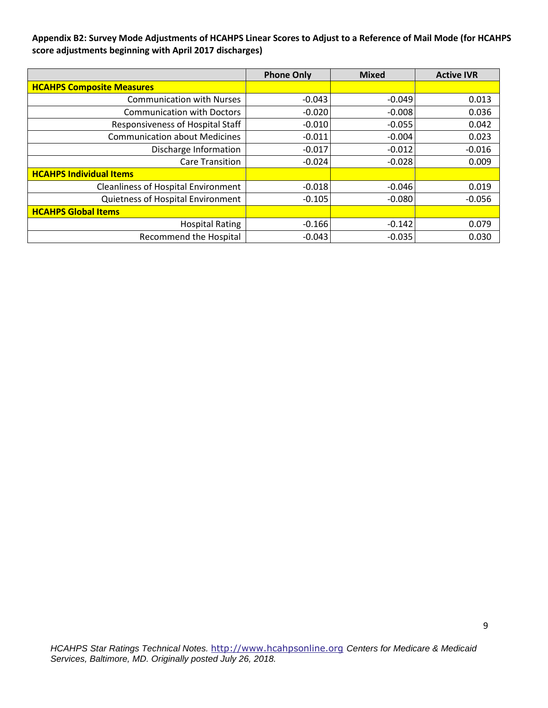**Appendix B2: Survey Mode Adjustments of HCAHPS Linear Scores to Adjust to a Reference of Mail Mode (for HCAHPS score adjustments beginning with April 2017 discharges)** 

|                                            | <b>Phone Only</b> | <b>Mixed</b> | <b>Active IVR</b> |
|--------------------------------------------|-------------------|--------------|-------------------|
| <b>HCAHPS Composite Measures</b>           |                   |              |                   |
| <b>Communication with Nurses</b>           | $-0.043$          | $-0.049$     | 0.013             |
| <b>Communication with Doctors</b>          | $-0.020$          | $-0.008$     | 0.036             |
| Responsiveness of Hospital Staff           | $-0.010$          | $-0.055$     | 0.042             |
| <b>Communication about Medicines</b>       | $-0.011$          | $-0.004$     | 0.023             |
| Discharge Information                      | $-0.017$          | $-0.012$     | $-0.016$          |
| <b>Care Transition</b>                     | $-0.024$          | $-0.028$     | 0.009             |
| <b>HCAHPS Individual Items</b>             |                   |              |                   |
| <b>Cleanliness of Hospital Environment</b> | $-0.018$          | $-0.046$     | 0.019             |
| Quietness of Hospital Environment          | $-0.105$          | $-0.080$     | $-0.056$          |
| <b>HCAHPS Global Items</b>                 |                   |              |                   |
| <b>Hospital Rating</b>                     | $-0.166$          | $-0.142$     | 0.079             |
| <b>Recommend the Hospital</b>              | $-0.043$          | $-0.035$     | 0.030             |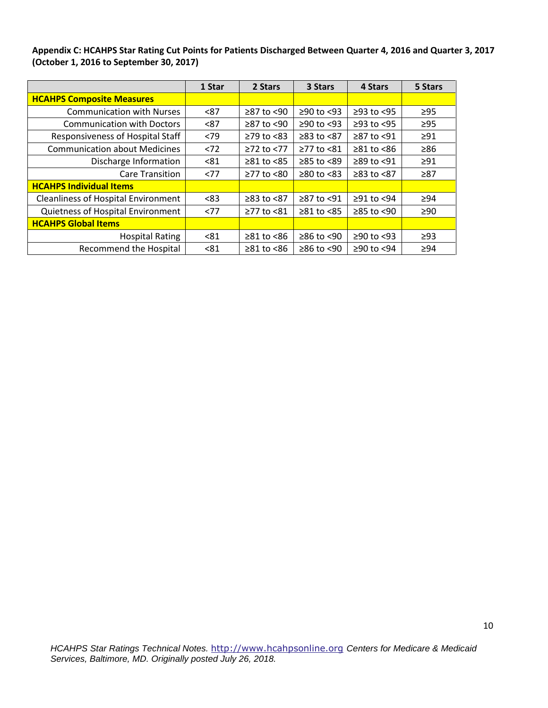**Appendix C: HCAHPS Star Rating Cut Points for Patients Discharged Between Quarter 4, 2016 and Quarter 3, 2017 (October 1, 2016 to September 30, 2017)** 

|                                            | 1 Star | 2 Stars                | 3 Stars          | 4 Stars          | 5 Stars   |
|--------------------------------------------|--------|------------------------|------------------|------------------|-----------|
| <b>HCAHPS Composite Measures</b>           |        |                        |                  |                  |           |
| <b>Communication with Nurses</b>           | < 87   | $\geq$ 87 to <90       | $≥90$ to <93     | $≥93$ to $<95$   | $\geq$ 95 |
| <b>Communication with Doctors</b>          | < 87   | ≥87 to <90             | $≥90$ to <93     | $≥93$ to <95     | $\geq$ 95 |
| Responsiveness of Hospital Staff           | <79    | $≥79$ to $≤83$         | $≥83$ to $≤87$   | $≥87$ to <91     | $\geq$ 91 |
| <b>Communication about Medicines</b>       | < 72   | $≥72$ to $≤77$         | $≥77$ to $≤81$   | $≥81$ to $≤86$   | $\geq 86$ |
| Discharge Information                      | < 81   | $≥81$ to $≤85$         | ≥85 to <89       | $\geq$ 89 to <91 | $\geq$ 91 |
| <b>Care Transition</b>                     | <77    | $≥77$ to $≤80$         | $≥80$ to <83     | $≥83$ to $≤87$   | $\geq 87$ |
| <b>HCAHPS Individual Items</b>             |        |                        |                  |                  |           |
| <b>Cleanliness of Hospital Environment</b> | < 83   | $≥83$ to $<87$         | ≥87 to <91       | $≥91$ to $≤94$   | $\geq 94$ |
| Quietness of Hospital Environment          | <77    | ≥77 to <81             | $\geq 81$ to <85 | $\geq$ 85 to <90 | $\geq 90$ |
| <b>HCAHPS Global Items</b>                 |        |                        |                  |                  |           |
| <b>Hospital Rating</b>                     | < 81   | $\geq 81$ to $\leq 86$ | ≥86 to <90       | $≥90$ to <93     | $\geq$ 93 |
| <b>Recommend the Hospital</b>              | < 81   | $\geq 81$ to <86       | ≥86 to <90       | ≥90 to <94       | $\geq 94$ |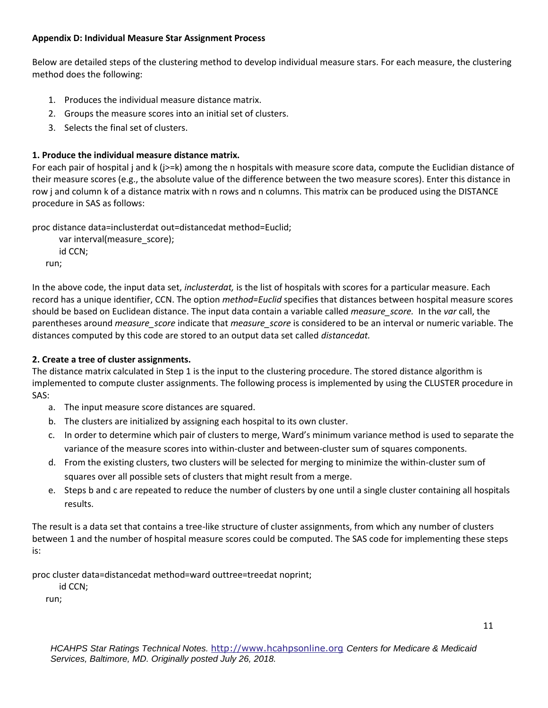## **Appendix D: Individual Measure Star Assignment Process**

Below are detailed steps of the clustering method to develop individual measure stars. For each measure, the clustering method does the following:

- 1. Produces the individual measure distance matrix.
- 2. Groups the measure scores into an initial set of clusters.
- 3. Selects the final set of clusters.

# **1. Produce the individual measure distance matrix.**

For each pair of hospital j and k (j>=k) among the n hospitals with measure score data, compute the Euclidian distance of their measure scores (e.g., the absolute value of the difference between the two measure scores). Enter this distance in row j and column k of a distance matrix with n rows and n columns. This matrix can be produced using the DISTANCE procedure in SAS as follows:

proc distance data=inclusterdat out=distancedat method=Euclid;

```
var interval(measure_score);
    id CCN;
run;
```
In the above code, the input data set, *inclusterdat,* is the list of hospitals with scores for a particular measure. Each record has a unique identifier, CCN. The option *method=Euclid* specifies that distances between hospital measure scores should be based on Euclidean distance. The input data contain a variable called *measure\_score.* In the *var* call, the parentheses around *measure\_score* indicate that *measure\_score* is considered to be an interval or numeric variable. The distances computed by this code are stored to an output data set called *distancedat.* 

# **2. Create a tree of cluster assignments.**

The distance matrix calculated in Step 1 is the input to the clustering procedure. The stored distance algorithm is implemented to compute cluster assignments. The following process is implemented by using the CLUSTER procedure in SAS:

- a. The input measure score distances are squared.
- b. The clusters are initialized by assigning each hospital to its own cluster.
- c. In order to determine which pair of clusters to merge, Ward's minimum variance method is used to separate the variance of the measure scores into within-cluster and between-cluster sum of squares components.
- d. From the existing clusters, two clusters will be selected for merging to minimize the within-cluster sum of squares over all possible sets of clusters that might result from a merge.
- e. Steps b and c are repeated to reduce the number of clusters by one until a single cluster containing all hospitals results.

The result is a data set that contains a tree-like structure of cluster assignments, from which any number of clusters between 1 and the number of hospital measure scores could be computed. The SAS code for implementing these steps is:

proc cluster data=distancedat method=ward outtree=treedat noprint;

id CCN;

run;